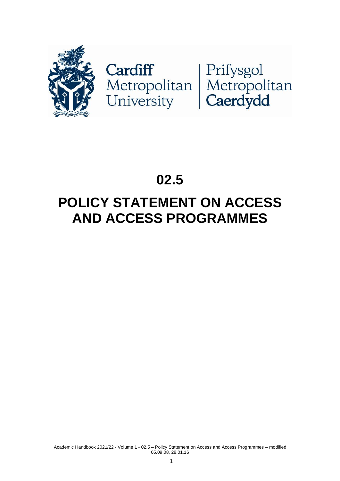

Cardiff<br>Metropolitan Metropolitan<br>University Caerdydd

# **02.5**

## **POLICY STATEMENT ON ACCESS AND ACCESS PROGRAMMES**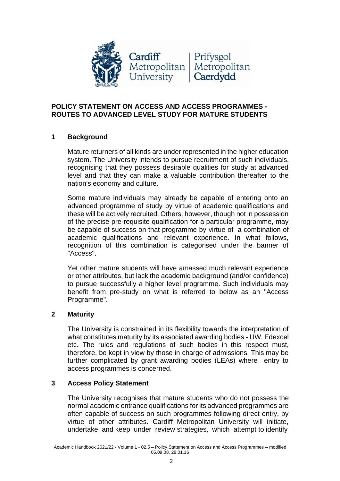

### **POLICY STATEMENT ON ACCESS AND ACCESS PROGRAMMES - ROUTES TO ADVANCED LEVEL STUDY FOR MATURE STUDENTS**

### **1 Background**

Mature returners of all kinds are under represented in the higher education system. The University intends to pursue recruitment of such individuals, recognising that they possess desirable qualities for study at advanced level and that they can make a valuable contribution thereafter to the nation's economy and culture.

Some mature individuals may already be capable of entering onto an advanced programme of study by virtue of academic qualifications and these will be actively recruited. Others, however, though not in possession of the precise pre-requisite qualification for a particular programme, may be capable of success on that programme by virtue of a combination of academic qualifications and relevant experience. In what follows, recognition of this combination is categorised under the banner of "Access".

Yet other mature students will have amassed much relevant experience or other attributes, but lack the academic background (and/or confidence) to pursue successfully a higher level programme. Such individuals may benefit from pre-study on what is referred to below as an "Access Programme".

### **2 Maturity**

The University is constrained in its flexibility towards the interpretation of what constitutes maturity by its associated awarding bodies - UW, Edexcel etc. The rules and regulations of such bodies in this respect must, therefore, be kept in view by those in charge of admissions. This may be further complicated by grant awarding bodies (LEAs) where entry to access programmes is concerned.

### **3 Access Policy Statement**

The University recognises that mature students who do not possess the normal academic entrance qualifications for its advanced programmes are often capable of success on such programmes following direct entry, by virtue of other attributes. Cardiff Metropolitan University will initiate, undertake and keep under review strategies, which attempt to identify